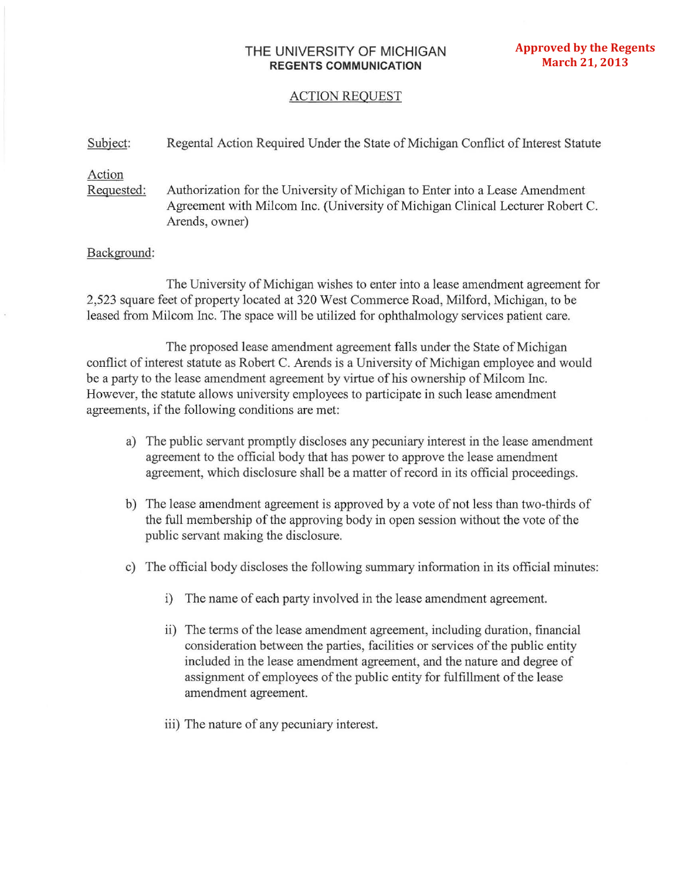# **THE** UNIVERSITY OF MICHIGAN **REGENTS COMMUNICATION**

## ACTION REQUEST

#### Subject: Regental Action Required Under the State of Michigan Conflict of Interest Statute

## Action

Reguested: Authorization for the University of Michigan to Enter into a Lease Amendment Agreement with Milcom Inc. (University of Michigan Clinical Lecturer Robert C. Arends, owner)

### Background:

The University of Michigan wishes to enter into a lease amendment agreement for 2,523 square feet of property located at 320 West Commerce Road, Milford, Michigan, to be leased from Milcom Inc. The space will be utilized for ophthalmology services patient care.

The proposed lease amendment agreement falls under the State of Michigan conflict of interest statute as Robert C. Arends is a University of Michigan employee and would be a party to the lease amendment agreement by virtue of his ownership of Milcom Inc. However, the statute allows university employees to participate in such lease amendment agreements, if the following conditions are met:

- a) The public servant promptly discloses any pecuniary interest in the lease amendment agreement to the official body that has power to approve the lease amendment agreement, which disclosure shall be a matter of record in its official proceedings.
- b) The lease amendment agreement is approved by a vote of not less than two-thirds of the full membership of the approving body in open session without the vote of the public servant making the disclosure.
- c) The official body discloses the following summary information in its official minutes:
	- i) The name of each party involved in the lease amendment agreement.
	- ii) The terms of the lease amendment agreement, including duration, financial consideration between the parties, facilities or services of the public entity included in the lease amendment agreement, and the nature and degree of assignment of employees of the public entity for fulfillment of the lease amendment agreement.
	- iii) The nature of any pecuniary interest.